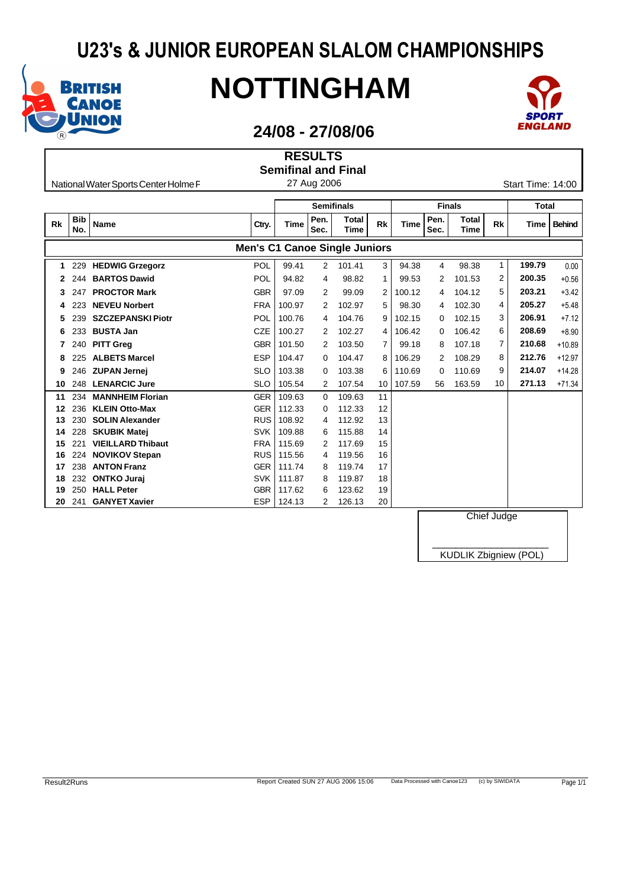

I

# **NOTTINGHAM**



### **24/08 - 27/08/06**

**RESULTS**

|           |                   |                                      |                                      |        |              | <b>Semifinal and Final</b>  |                |             |              |                      |    |                   |               |
|-----------|-------------------|--------------------------------------|--------------------------------------|--------|--------------|-----------------------------|----------------|-------------|--------------|----------------------|----|-------------------|---------------|
|           |                   | National Water Sports Center Holme F |                                      |        | 27 Aug 2006  |                             |                |             |              |                      |    | Start Time: 14:00 |               |
|           |                   |                                      |                                      |        |              |                             |                |             |              |                      |    |                   |               |
|           |                   |                                      |                                      |        |              | <b>Semifinals</b>           |                |             |              | <b>Finals</b>        |    | <b>Total</b>      |               |
| <b>Rk</b> | <b>Bib</b><br>No. | <b>Name</b>                          | Ctry.                                | Time   | Pen.<br>Sec. | <b>Total</b><br><b>Time</b> | Rk             | <b>Time</b> | Pen.<br>Sec. | <b>Total</b><br>Time | Rk | Time              | <b>Behind</b> |
|           |                   |                                      | <b>Men's C1 Canoe Single Juniors</b> |        |              |                             |                |             |              |                      |    |                   |               |
| 1         | 229               | <b>HEDWIG Grzegorz</b>               | POL                                  | 99.41  | 2            | 101.41                      | 3              | 94.38       | 4            | 98.38                | 1  | 199.79            | 0.00          |
|           | 244               | <b>BARTOS Dawid</b>                  | POL                                  | 94.82  | 4            | 98.82                       | 1              | 99.53       | 2            | 101.53               | 2  | 200.35            | $+0.56$       |
| 3         | 247               | <b>PROCTOR Mark</b>                  | <b>GBR</b>                           | 97.09  | 2            | 99.09                       | 2              | 100.12      | 4            | 104.12               | 5  | 203.21            | $+3.42$       |
| 4         | 223               | <b>NEVEU Norbert</b>                 | <b>FRA</b>                           | 100.97 | 2            | 102.97                      | 5              | 98.30       | 4            | 102.30               | 4  | 205.27            | $+5.48$       |
| 5         | 239               | <b>SZCZEPANSKI Piotr</b>             | POL                                  | 100.76 | 4            | 104.76                      | 9              | 102.15      | 0            | 102.15               | 3  | 206.91            | $+7.12$       |
| 6         | 233               | <b>BUSTA Jan</b>                     | <b>CZE</b>                           | 100.27 | 2            | 102.27                      | 4              | 106.42      | 0            | 106.42               | 6  | 208.69            | $+8.90$       |
|           | 240               | <b>PITT Greg</b>                     | <b>GBR</b>                           | 101.50 | 2            | 103.50                      | $\overline{7}$ | 99.18       | 8            | 107.18               | 7  | 210.68            | $+10.89$      |
| 8         | 225               | <b>ALBETS Marcel</b>                 | <b>ESP</b>                           | 104.47 | 0            | 104.47                      | 8              | 106.29      | 2            | 108.29               | 8  | 212.76            | $+12.97$      |
| 9         | 246               | <b>ZUPAN Jernej</b>                  | <b>SLO</b>                           | 103.38 | $\Omega$     | 103.38                      | 6              | 110.69      | 0            | 110.69               | 9  | 214.07            | $+14.28$      |
| 10        | 248               | <b>LENARCIC Jure</b>                 | <b>SLO</b>                           | 105.54 | 2            | 107.54                      | 10             | 107.59      | 56           | 163.59               | 10 | 271.13            | $+71.34$      |
| 11        | 234               | <b>MANNHEIM Florian</b>              | <b>GER</b>                           | 109.63 | 0            | 109.63                      | 11             |             |              |                      |    |                   |               |
| 12        | 236               | <b>KLEIN Otto-Max</b>                | <b>GER</b>                           | 112.33 | 0            | 112.33                      | 12             |             |              |                      |    |                   |               |
| 13        | 230               | <b>SOLIN Alexander</b>               | <b>RUS</b>                           | 108.92 | 4            | 112.92                      | 13             |             |              |                      |    |                   |               |
| 14        | 228               | <b>SKUBIK Matej</b>                  | <b>SVK</b>                           | 109.88 | 6            | 115.88                      | 14             |             |              |                      |    |                   |               |
| 15        | 221               | <b>VIEILLARD Thibaut</b>             | <b>FRA</b>                           | 115.69 | 2            | 117.69                      | 15             |             |              |                      |    |                   |               |
| 16        | 224               | <b>NOVIKOV Stepan</b>                | <b>RUS</b>                           | 115.56 | 4            | 119.56                      | 16             |             |              |                      |    |                   |               |
| 17        | 238               | <b>ANTON Franz</b>                   | <b>GER</b>                           | 111.74 | 8            | 119.74                      | 17             |             |              |                      |    |                   |               |
| 18        | 232               | <b>ONTKO Jurai</b>                   | <b>SVK</b>                           | 111.87 | 8            | 119.87                      | 18             |             |              |                      |    |                   |               |
| 19        | 250               | <b>HALL Peter</b>                    | <b>GBR</b>                           | 117.62 | 6            | 123.62                      | 19             |             |              |                      |    |                   |               |
| 20        | 241               | <b>GANYET Xavier</b>                 | <b>ESP</b>                           | 124.13 | 2            | 126.13                      | 20             |             |              |                      |    |                   |               |

Chief Judge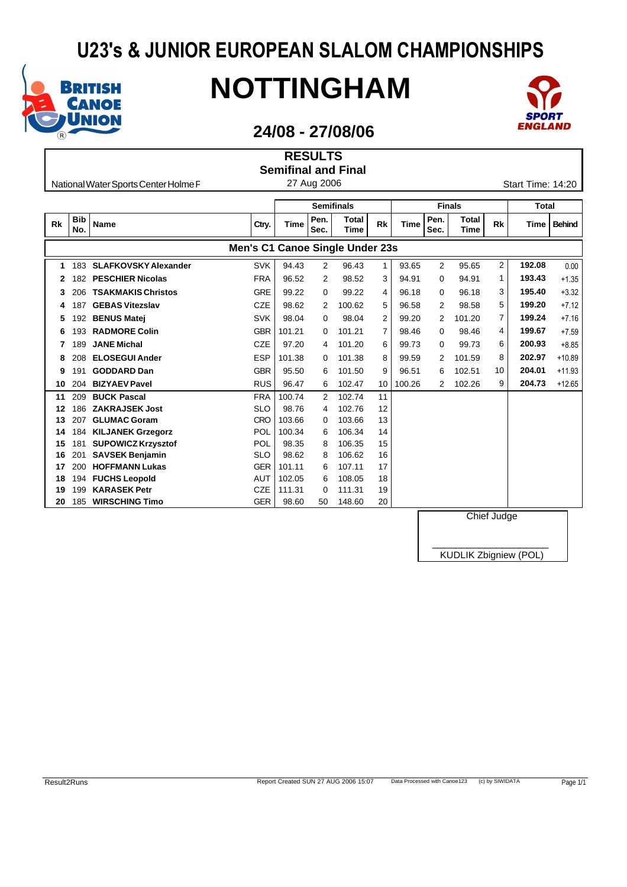

# **NOTTINGHAM**



### **24/08 - 27/08/06**

|           |                   |                                              |                                 |                 | <b>RESULTS</b> |                             |              |        |                |                      |           |                   |               |
|-----------|-------------------|----------------------------------------------|---------------------------------|-----------------|----------------|-----------------------------|--------------|--------|----------------|----------------------|-----------|-------------------|---------------|
|           |                   |                                              |                                 |                 |                | <b>Semifinal and Final</b>  |              |        |                |                      |           |                   |               |
|           |                   | National Water Sports Center Holme F         |                                 |                 | 27 Aug 2006    |                             |              |        |                |                      |           | Start Time: 14:20 |               |
|           |                   |                                              |                                 |                 |                |                             |              |        |                |                      |           |                   |               |
|           |                   |                                              |                                 |                 |                | <b>Semifinals</b>           |              |        |                | <b>Finals</b>        |           | <b>Total</b>      |               |
| <b>Rk</b> | <b>Bib</b><br>No. | <b>Name</b>                                  | Ctry.                           | Time            | Pen.<br>Sec.   | <b>Total</b><br><b>Time</b> | <b>Rk</b>    | Time   | Pen.<br>Sec.   | <b>Total</b><br>Time | <b>Rk</b> | Time              | <b>Behind</b> |
|           |                   |                                              | Men's C1 Canoe Single Under 23s |                 |                |                             |              |        |                |                      |           |                   |               |
| 1         | 183               | <b>SLAFKOVSKY Alexander</b>                  | <b>SVK</b>                      | 94.43           | 2              | 96.43                       | $\mathbf{1}$ | 93.65  | $\overline{2}$ | 95.65                | 2         | 192.08            | 0.00          |
| 2         | 182               | <b>PESCHIER Nicolas</b>                      | <b>FRA</b>                      | 96.52           | 2              | 98.52                       | 3            | 94.91  | 0              | 94.91                | 1         | 193.43            | $+1.35$       |
| 3         | 206               | <b>TSAKMAKIS Christos</b>                    | <b>GRE</b>                      | 99.22           | 0              | 99.22                       | 4            | 96.18  | 0              | 96.18                | 3         | 195.40            | $+3.32$       |
| 4         | 187               | <b>GEBAS Vitezslav</b>                       | <b>CZE</b>                      | 98.62           | 2              | 100.62                      | 5            | 96.58  | 2              | 98.58                | 5         | 199.20            | $+7.12$       |
| 5         | 192               | <b>BENUS Matei</b>                           | <b>SVK</b>                      | 98.04           | 0              | 98.04                       | 2            | 99.20  | 2              | 101.20               | 7         | 199.24            | $+7.16$       |
| 6         | 193               | <b>RADMORE Colin</b>                         | <b>GBR</b>                      | 101.21          | $\Omega$       | 101.21                      | 7            | 98.46  | 0              | 98.46                | 4         | 199.67            | $+7.59$       |
| 7         | 189               | <b>JANE Michal</b>                           | <b>CZE</b>                      | 97.20           | 4              | 101.20                      | 6            | 99.73  | 0              | 99.73                | 6         | 200.93            | $+8.85$       |
| 8         | 208               | <b>ELOSEGUI Ander</b>                        | <b>ESP</b>                      | 101.38          | 0              | 101.38                      | 8            | 99.59  | 2              | 101.59               | 8         | 202.97            | $+10.89$      |
| 9         | 191               | <b>GODDARD Dan</b>                           | <b>GBR</b>                      | 95.50           | 6              | 101.50                      | 9            | 96.51  | 6              | 102.51               | 10        | 204.01            | $+11.93$      |
| 10        | 204               | <b>BIZYAEV Pavel</b>                         | <b>RUS</b>                      | 96.47           | 6              | 102.47                      | 10           | 100.26 | $\overline{2}$ | 102.26               | 9         | 204.73            | $+12.65$      |
| 11        | 209               | <b>BUCK Pascal</b>                           | <b>FRA</b>                      | 100.74          | 2              | 102.74                      | 11           |        |                |                      |           |                   |               |
| 12        | 186               | <b>ZAKRAJSEK Jost</b>                        | <b>SLO</b>                      | 98.76           | 4              | 102.76                      | 12           |        |                |                      |           |                   |               |
| 13        | 207               | <b>GLUMAC Goram</b>                          | <b>CRO</b>                      | 103.66          | 0              | 103.66                      | 13           |        |                |                      |           |                   |               |
| 14        | 184               | <b>KILJANEK Grzegorz</b>                     | POL                             | 100.34          | 6              | 106.34                      | 14           |        |                |                      |           |                   |               |
| 15        | 181               | <b>SUPOWICZ Krzysztof</b>                    | POL                             | 98.35           | 8              | 106.35                      | 15           |        |                |                      |           |                   |               |
| 16        | 201               | <b>SAVSEK Benjamin</b>                       | <b>SLO</b>                      | 98.62           | 8              | 106.62                      | 16           |        |                |                      |           |                   |               |
| 17        | 200               | <b>HOFFMANN Lukas</b>                        | <b>GER</b>                      | 101.11          | 6              | 107.11                      | 17           |        |                |                      |           |                   |               |
| 18        | 194               | <b>FUCHS Leopold</b>                         | <b>AUT</b>                      | 102.05          | 6              | 108.05                      | 18           |        |                |                      |           |                   |               |
|           |                   |                                              |                                 |                 |                |                             |              |        |                |                      |           |                   |               |
| 19<br>20  | 199<br>185        | <b>KARASEK Petr</b><br><b>WIRSCHING Timo</b> | <b>CZE</b><br><b>GER</b>        | 111.31<br>98.60 | 0<br>50        | 111.31<br>148.60            | 19<br>20     |        |                |                      |           |                   |               |

Chief Judge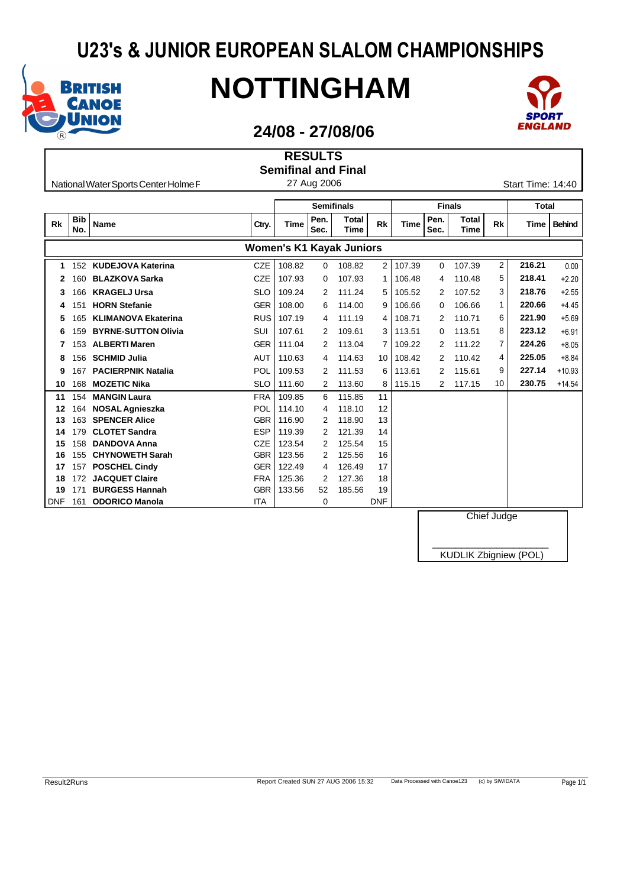

I

# **NOTTINGHAM**



### **24/08 - 27/08/06**

**RESULTS**

|            |                   |                                      |            |        |              | <b>Semifinal and Final</b>      |                |             |              |                      |           |                   |               |
|------------|-------------------|--------------------------------------|------------|--------|--------------|---------------------------------|----------------|-------------|--------------|----------------------|-----------|-------------------|---------------|
|            |                   | National Water Sports Center Holme F |            |        | 27 Aug 2006  |                                 |                |             |              |                      |           | Start Time: 14:40 |               |
|            |                   |                                      |            |        |              |                                 |                |             |              |                      |           |                   |               |
|            |                   |                                      |            |        |              | <b>Semifinals</b>               |                |             |              | <b>Finals</b>        |           | <b>Total</b>      |               |
| <b>Rk</b>  | <b>Bib</b><br>No. | <b>Name</b>                          | Ctry.      | Time   | Pen.<br>Sec. | <b>Total</b><br><b>Time</b>     | Rk             | <b>Time</b> | Pen.<br>Sec. | <b>Total</b><br>Time | <b>Rk</b> | Time              | <b>Behind</b> |
|            |                   |                                      |            |        |              | <b>Women's K1 Kayak Juniors</b> |                |             |              |                      |           |                   |               |
| 1          | 152               | <b>KUDEJOVA Katerina</b>             | <b>CZE</b> | 108.82 | 0            | 108.82                          | $\overline{2}$ | 107.39      | 0            | 107.39               | 2         | 216.21            | 0.00          |
|            | 160               | <b>BLAZKOVA Sarka</b>                | <b>CZE</b> | 107.93 | 0            | 107.93                          | 1              | 106.48      | 4            | 110.48               | 5         | 218.41            | $+2.20$       |
| 3          | 166               | <b>KRAGELJ Ursa</b>                  | <b>SLO</b> | 109.24 | 2            | 111.24                          | 5              | 105.52      | 2            | 107.52               | 3         | 218.76            | $+2.55$       |
| 4          | 151               | <b>HORN Stefanie</b>                 | <b>GER</b> | 108.00 | 6            | 114.00                          | 9              | 106.66      | 0            | 106.66               | 1         | 220.66            | $+4.45$       |
| 5          | 165               | <b>KLIMANOVA Ekaterina</b>           | <b>RUS</b> | 107.19 | 4            | 111.19                          | 4              | 108.71      | 2            | 110.71               | 6         | 221.90            | $+5.69$       |
| 6          | 159               | <b>BYRNE-SUTTON Olivia</b>           | <b>SUI</b> | 107.61 | 2            | 109.61                          | 3              | 113.51      | 0            | 113.51               | 8         | 223.12            | $+6.91$       |
|            | 153               | <b>ALBERTI Maren</b>                 | <b>GER</b> | 111.04 | 2            | 113.04                          | 7              | 109.22      | 2            | 111.22               | 7         | 224.26            | $+8.05$       |
| 8          | 156               | <b>SCHMID Julia</b>                  | AUT        | 110.63 | 4            | 114.63                          | 10             | 108.42      | 2            | 110.42               | 4         | 225.05            | $+8.84$       |
| 9          | 167               | <b>PACIERPNIK Natalia</b>            | POL        | 109.53 | 2            | 111.53                          | 6              | 113.61      | 2            | 115.61               | 9         | 227.14            | $+10.93$      |
| 10         | 168               | <b>MOZETIC Nika</b>                  | <b>SLO</b> | 111.60 | 2            | 113.60                          | 8              | 115.15      | 2            | 117.15               | 10        | 230.75            | $+14.54$      |
| 11         | 154               | <b>MANGIN Laura</b>                  | <b>FRA</b> | 109.85 | 6            | 115.85                          | 11             |             |              |                      |           |                   |               |
| 12         | 164               | <b>NOSAL Agnieszka</b>               | POL        | 114.10 | 4            | 118.10                          | 12             |             |              |                      |           |                   |               |
| 13         | 163               | <b>SPENCER Alice</b>                 | <b>GBR</b> | 116.90 | 2            | 118.90                          | 13             |             |              |                      |           |                   |               |
| 14         | 179               | <b>CLOTET Sandra</b>                 | <b>ESP</b> | 119.39 | 2            | 121.39                          | 14             |             |              |                      |           |                   |               |
| 15         | 158               | <b>DANDOVA Anna</b>                  | <b>CZE</b> | 123.54 | 2            | 125.54                          | 15             |             |              |                      |           |                   |               |
| 16         | 155               | <b>CHYNOWETH Sarah</b>               | <b>GBR</b> | 123.56 |              | 125.56                          | 16             |             |              |                      |           |                   |               |
| 17         | 157               | <b>POSCHEL Cindy</b>                 | <b>GER</b> | 122.49 | 4            | 126.49                          | 17             |             |              |                      |           |                   |               |
| 18         | 172               | <b>JACQUET Claire</b>                | <b>FRA</b> | 125.36 | 2            | 127.36                          | 18             |             |              |                      |           |                   |               |
| 19         | 171               | <b>BURGESS Hannah</b>                | <b>GBR</b> | 133.56 | 52           | 185.56                          | 19             |             |              |                      |           |                   |               |
| <b>DNF</b> | 161               | <b>ODORICO Manola</b>                | <b>ITA</b> |        | 0            |                                 | <b>DNF</b>     |             |              |                      |           |                   |               |

**DNF 161 ODORICO Manola** ITA **ITA** 0

Chief Judge

\_\_\_\_\_\_\_\_\_\_\_\_\_\_\_\_\_\_\_\_ KUDLIK Zbigniew (POL)

Result2Runs **Report Created SUN 27 AUG 2006 15:32** Data Processed with Canoe123 (c) by SIWIDATA Page 1/1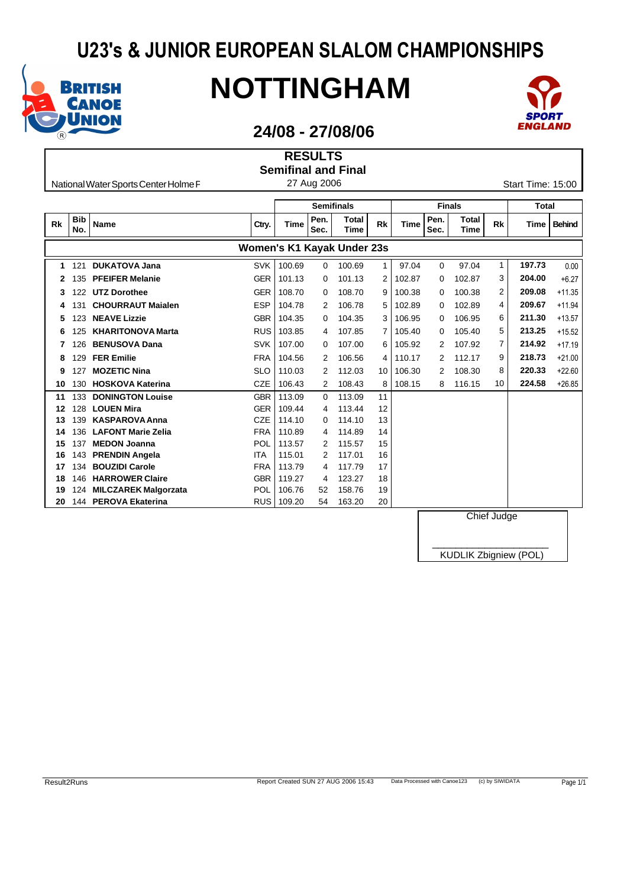

I

# **NOTTINGHAM**



### **24/08 - 27/08/06**

**RESULTS**

|           |                   |                                      |                            |        |              | <b>Semifinal and Final</b>  |    |        |              |                      |           |                   |               |
|-----------|-------------------|--------------------------------------|----------------------------|--------|--------------|-----------------------------|----|--------|--------------|----------------------|-----------|-------------------|---------------|
|           |                   | National Water Sports Center Holme F |                            |        | 27 Aug 2006  |                             |    |        |              |                      |           | Start Time: 15:00 |               |
|           |                   |                                      |                            |        |              |                             |    |        |              |                      |           |                   |               |
|           |                   |                                      |                            |        |              | <b>Semifinals</b>           |    |        |              | <b>Finals</b>        |           | <b>Total</b>      |               |
| <b>Rk</b> | <b>Bib</b><br>No. | <b>Name</b>                          | Ctry.                      | Time   | Pen.<br>Sec. | <b>Total</b><br><b>Time</b> | Rk | Time   | Pen.<br>Sec. | <b>Total</b><br>Time | <b>Rk</b> | Time              | <b>Behind</b> |
|           |                   |                                      | Women's K1 Kayak Under 23s |        |              |                             |    |        |              |                      |           |                   |               |
| 1         | 121               | <b>DUKATOVA Jana</b>                 | <b>SVK</b>                 | 100.69 | 0            | 100.69                      | 1  | 97.04  | 0            | 97.04                | 1         | 197.73            | 0.00          |
|           | 135               | <b>PFEIFER Melanie</b>               | <b>GER</b>                 | 101.13 | 0            | 101.13                      | 2  | 102.87 | 0            | 102.87               | 3         | 204.00            | $+6.27$       |
| З         | 122               | <b>UTZ Dorothee</b>                  | <b>GER</b>                 | 108.70 | 0            | 108.70                      | 9  | 100.38 | 0            | 100.38               | 2         | 209.08            | $+11.35$      |
| 4         | 131               | <b>CHOURRAUT Majalen</b>             | <b>ESP</b>                 | 104.78 | 2            | 106.78                      | 5  | 102.89 | 0            | 102.89               | 4         | 209.67            | $+11.94$      |
| 5         | 123               | <b>NEAVE Lizzie</b>                  | <b>GBR</b>                 | 104.35 | 0            | 104.35                      | 3  | 106.95 | 0            | 106.95               | 6         | 211.30            | $+13.57$      |
| 6         | 125               | <b>KHARITONOVA Marta</b>             | <b>RUS</b>                 | 103.85 | 4            | 107.85                      | 7  | 105.40 | 0            | 105.40               | 5         | 213.25            | $+15.52$      |
|           | 126               | <b>BENUSOVA Dana</b>                 | <b>SVK</b>                 | 107.00 | 0            | 107.00                      | 6  | 105.92 | 2            | 107.92               | 7         | 214.92            | $+17.19$      |
| 8         | 129               | <b>FER Emilie</b>                    | <b>FRA</b>                 | 104.56 | 2            | 106.56                      | 4  | 110.17 | 2            | 112.17               | 9         | 218.73            | $+21.00$      |
| 9         | 127               | <b>MOZETIC Nina</b>                  | <b>SLO</b>                 | 110.03 | 2            | 112.03                      | 10 | 106.30 | 2            | 108.30               | 8         | 220.33            | $+22.60$      |
| 10        | 130               | <b>HOSKOVA Katerina</b>              | <b>CZE</b>                 | 106.43 | 2            | 108.43                      | 8  | 108.15 | 8            | 116.15               | 10        | 224.58            | $+26.85$      |
| 11        | 133               | <b>DONINGTON Louise</b>              | <b>GBR</b>                 | 113.09 | $\Omega$     | 113.09                      | 11 |        |              |                      |           |                   |               |
| 12        | 128               | <b>LOUEN Mira</b>                    | <b>GER</b>                 | 109.44 | 4            | 113.44                      | 12 |        |              |                      |           |                   |               |
| 13        | 139               | <b>KASPAROVA Anna</b>                | <b>CZE</b>                 | 114.10 | 0            | 114.10                      | 13 |        |              |                      |           |                   |               |
| 14        | 136               | <b>LAFONT Marie Zelia</b>            | <b>FRA</b>                 | 110.89 | 4            | 114.89                      | 14 |        |              |                      |           |                   |               |
| 15        | 137               | <b>MEDON Joanna</b>                  | POL                        | 113.57 |              | 115.57                      | 15 |        |              |                      |           |                   |               |
| 16        | 143               | <b>PRENDIN Angela</b>                | <b>ITA</b>                 | 115.01 | 2            | 117.01                      | 16 |        |              |                      |           |                   |               |
| 17        | 134               | <b>BOUZIDI Carole</b>                | <b>FRA</b>                 | 113.79 | 4            | 117.79                      | 17 |        |              |                      |           |                   |               |
| 18        | 146               | <b>HARROWER Claire</b>               | <b>GBR</b>                 | 119.27 | 4            | 123.27                      | 18 |        |              |                      |           |                   |               |
| 19        | 124               | <b>MILCZAREK Malgorzata</b>          | POL                        | 106.76 | 52           | 158.76                      | 19 |        |              |                      |           |                   |               |
| 20        | 144               | <b>PEROVA Ekaterina</b>              | <b>RUS</b>                 | 109.20 | 54           | 163.20                      | 20 |        |              |                      |           |                   |               |

**20** 144 **PEROVA Ekaterina** RUS 109.20 54 163.20 20

Chief Judge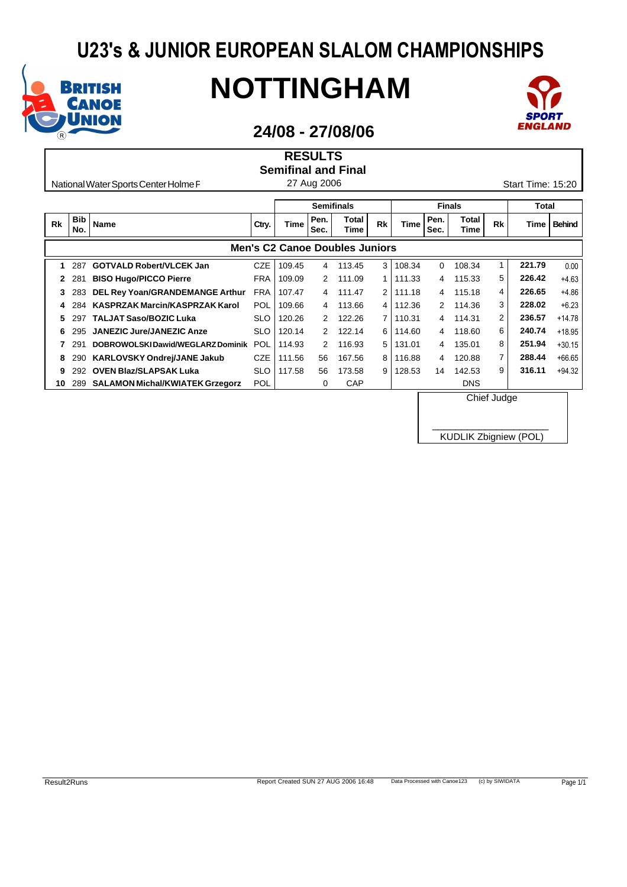

Г

# **NOTTINGHAM**



### **24/08 - 27/08/06**

|           |                   |                                        |            |             | <b>RESULTS</b>    |                                       |                |             |              |                      |           |                   |               |
|-----------|-------------------|----------------------------------------|------------|-------------|-------------------|---------------------------------------|----------------|-------------|--------------|----------------------|-----------|-------------------|---------------|
|           |                   |                                        |            |             |                   | <b>Semifinal and Final</b>            |                |             |              |                      |           |                   |               |
|           |                   | National Water Sports Center Holme F   |            |             | 27 Aug 2006       |                                       |                |             |              |                      |           | Start Time: 15:20 |               |
|           |                   |                                        |            |             | <b>Semifinals</b> |                                       |                |             |              | <b>Finals</b>        |           | <b>Total</b>      |               |
|           |                   |                                        |            |             |                   |                                       |                |             |              |                      |           |                   |               |
| <b>Rk</b> | <b>Bib</b><br>No. | <b>Name</b>                            | Ctry.      | <b>Time</b> | Pen.<br>Sec.      | <b>Total</b><br>Time                  | <b>Rk</b>      | <b>Time</b> | Pen.<br>Sec. | <b>Total</b><br>Time | <b>Rk</b> | Time              | <b>Behind</b> |
|           |                   |                                        |            |             |                   | <b>Men's C2 Canoe Doubles Juniors</b> |                |             |              |                      |           |                   |               |
|           | 287               | <b>GOTVALD Robert/VLCEK Jan</b>        | <b>CZE</b> | 109.45      | 4                 | 113.45                                | 3              | 108.34      | 0            | 108.34               | 1         | 221.79            | 0.00          |
| 2         | 281               | <b>BISO Hugo/PICCO Pierre</b>          | <b>FRA</b> | 109.09      | 2                 | 111.09                                | 1 <sup>1</sup> | 111.33      | 4            | 115.33               | 5         | 226.42            | $+4.63$       |
| 3         | 283               | <b>DEL Rey Yoan/GRANDEMANGE Arthur</b> | <b>FRA</b> | 107.47      | 4                 | 111.47                                | 2              | 111.18      | 4            | 115.18               | 4         | 226.65            | $+4.86$       |
| 4         | 284               | <b>KASPRZAK Marcin/KASPRZAK Karol</b>  | POL        | 109.66      | 4                 | 113.66                                | 4              | 112.36      | 2            | 114.36               | 3         | 228.02            | $+6.23$       |
| 5         | 297               | <b>TALJAT Saso/BOZIC Luka</b>          | <b>SLO</b> | 120.26      | 2                 | 122.26                                | 7              | 110.31      | 4            | 114.31               | 2         | 236.57            | $+14.78$      |
| 6         | 295               | <b>JANEZIC Jure/JANEZIC Anze</b>       | <b>SLO</b> | 120.14      | 2                 | 122.14                                | 6              | 114.60      | 4            | 118.60               | 6         | 240.74            | $+18.95$      |
|           | 291               | DOBROWOLSKI Dawid/WEGLARZ Dominik      | POL        | 114.93      | 2                 | 116.93                                | 5              | 131.01      | 4            | 135.01               | 8         | 251.94            | $+30.15$      |
| 8         | 290               | <b>KARLOVSKY Ondrej/JANE Jakub</b>     | <b>CZE</b> | 111.56      | 56                | 167.56                                | 8              | 116.88      | 4            | 120.88               | 7         | 288.44            | $+66.65$      |
| 9         | 292               | <b>OVEN Blaz/SLAPSAK Luka</b>          | <b>SLO</b> | 117.58      | 56                | 173.58                                | 9              | 128.53      | 14           | 142.53               | 9         | 316.11            | $+94.32$      |
| 10        | 289               | <b>SALAMON Michal/KWIATEK Grzegorz</b> | POL        |             | 0                 | CAP                                   |                |             |              | <b>DNS</b>           |           |                   |               |

Chief Judge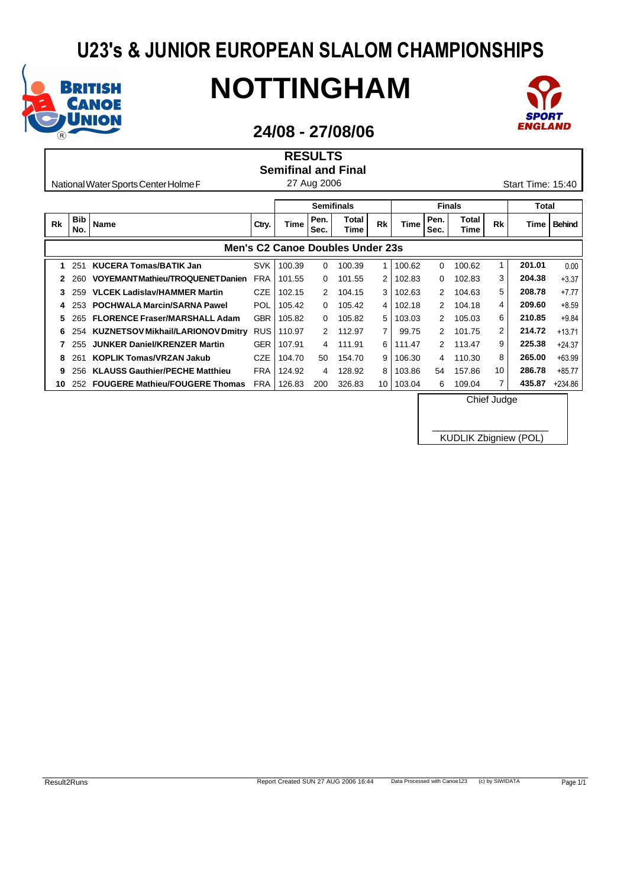

# **NOTTINGHAM**



### **24/08 - 27/08/06**

**RESULTS**

|    |                   |                                          |            |                            | .            |                                  |           |             |              |               |           |                   |               |
|----|-------------------|------------------------------------------|------------|----------------------------|--------------|----------------------------------|-----------|-------------|--------------|---------------|-----------|-------------------|---------------|
|    |                   |                                          |            | <b>Semifinal and Final</b> |              |                                  |           |             |              |               |           |                   |               |
|    |                   | National Water Sports Center Holme F     |            |                            | 27 Aug 2006  |                                  |           |             |              |               |           | Start Time: 15:40 |               |
|    |                   |                                          |            |                            |              |                                  |           |             |              |               |           |                   |               |
|    |                   |                                          |            |                            |              | <b>Semifinals</b>                |           |             |              | <b>Finals</b> |           | Total             |               |
| Rk | <b>Bib</b><br>No. | <b>Name</b>                              | Ctry.      | Time                       | Pen.<br>Sec. | Total<br>Time                    | <b>Rk</b> | <b>Time</b> | Pen.<br>Sec. | Total<br>Time | <b>Rk</b> | Time              | <b>Behind</b> |
|    |                   |                                          |            |                            |              | Men's C2 Canoe Doubles Under 23s |           |             |              |               |           |                   |               |
| 1  | 251               | <b>KUCERA Tomas/BATIK Jan</b>            | <b>SVK</b> | 100.39                     | 0            | 100.39                           | 1         | 100.62      | 0            | 100.62        | 1         | 201.01            | 0.00          |
| 2  | 260               | VOYEMANTMathieu/TROQUENETDanien          | <b>FRA</b> | 101.55                     | 0            | 101.55                           | 2         | 102.83      | 0            | 102.83        | 3         | 204.38            | $+3.37$       |
| 3  | 259               | <b>VLCEK Ladislav/HAMMER Martin</b>      | <b>CZE</b> | 102.15                     | 2            | 104.15                           | 3         | 102.63      | 2            | 104.63        | 5         | 208.78            | $+7.77$       |
| 4  | 253               | <b>POCHWALA Marcin/SARNA Pawel</b>       | POL        | 105.42                     | 0            | 105.42                           | 4         | 102.18      | 2            | 104.18        | 4         | 209.60            | $+8.59$       |
| 5. | 265               | <b>FLORENCE Fraser/MARSHALL Adam</b>     | <b>GBR</b> | 105.82                     | $\Omega$     | 105.82                           | 5         | 103.03      | 2            | 105.03        | 6         | 210.85            | $+9.84$       |
| 6  | 254               | <b>KUZNETSOV Mikhail/LARIONOV Dmitry</b> | <b>RUS</b> | 110.97                     | 2            | 112.97                           | 7         | 99.75       | 2            | 101.75        | 2         | 214.72            | $+13.71$      |
|    | 255               | <b>JUNKER Daniel/KRENZER Martin</b>      | <b>GER</b> | 107.91                     | 4            | 111.91                           | 6         | 111.47      | 2            | 113.47        | 9         | 225.38            | $+24.37$      |
| 8  | 261               | <b>KOPLIK Tomas/VRZAN Jakub</b>          | <b>CZE</b> | 104.70                     | 50           | 154.70                           | 9         | 106.30      | 4            | 110.30        | 8         | 265.00            | $+63.99$      |
| 9  | 256               | <b>KLAUSS Gauthier/PECHE Matthieu</b>    | FRA        | 124.92                     | 4            | 128.92                           | 8         | 103.86      | 54           | 157.86        | 10        | 286.78            | $+85.77$      |

**10** 252 **FOUGERE Mathieu/FOUGERE Thomas** FRA 126.83 200 326.83 10 103.04 6 109.04 7 **435.87** +234.86

Chief Judge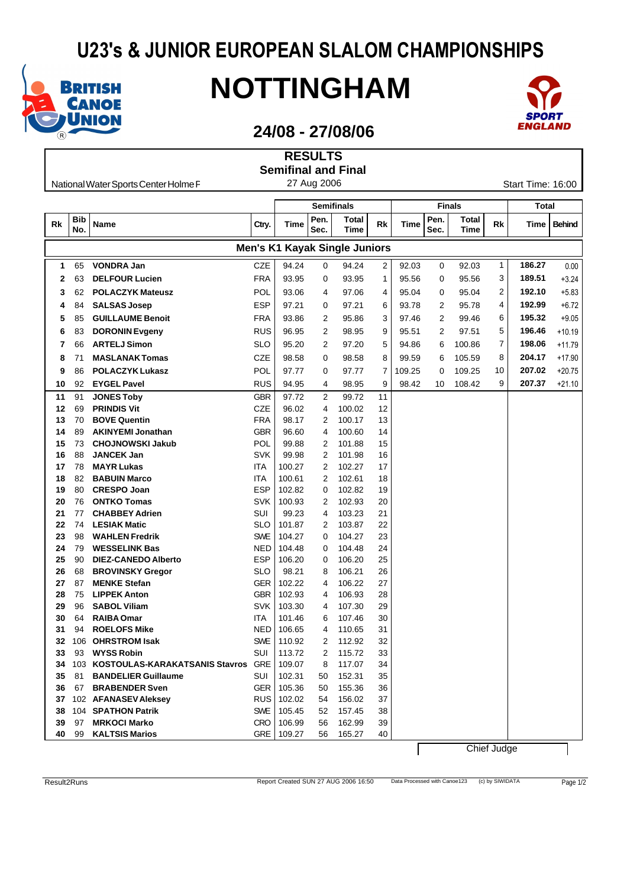

## **NOTTINGHAM**



#### **24/08 - 27/08/06**

|    |            |                                        |            |        | <b>RESULTS</b> |                                      |    |        |      |               |    |                   |               |
|----|------------|----------------------------------------|------------|--------|----------------|--------------------------------------|----|--------|------|---------------|----|-------------------|---------------|
|    |            |                                        |            |        |                | <b>Semifinal and Final</b>           |    |        |      |               |    |                   |               |
|    |            | National Water Sports Center Holme F   |            |        | 27 Aug 2006    |                                      |    |        |      |               |    | Start Time: 16:00 |               |
|    |            |                                        |            |        |                |                                      |    |        |      |               |    |                   |               |
|    |            |                                        |            |        |                | <b>Semifinals</b>                    |    |        |      | <b>Finals</b> |    | Total             |               |
| Rk | <b>Bib</b> | Name                                   | Ctry.      | Time   | Pen.           | Total                                | Rk | Time   | Pen. | <b>Total</b>  | Rk | Time              | <b>Behind</b> |
|    | No.        |                                        |            |        | Sec.           | Time                                 |    |        | Sec. | Time          |    |                   |               |
|    |            |                                        |            |        |                | <b>Men's K1 Kayak Single Juniors</b> |    |        |      |               |    |                   |               |
| 1  | 65         | <b>VONDRA Jan</b>                      | <b>CZE</b> | 94.24  | 0              | 94.24                                | 2  | 92.03  | 0    | 92.03         | 1  | 186.27            | 0.00          |
| 2  | 63         | <b>DELFOUR Lucien</b>                  | <b>FRA</b> | 93.95  | 0              | 93.95                                | 1  | 95.56  | 0    | 95.56         | 3  | 189.51            | $+3.24$       |
| 3  | 62         | <b>POLACZYK Mateusz</b>                | POL        | 93.06  | 4              | 97.06                                | 4  | 95.04  | 0    | 95.04         | 2  | 192.10            | $+5.83$       |
| 4  | 84         | <b>SALSAS Josep</b>                    | ESP        | 97.21  | 0              | 97.21                                | 6  | 93.78  | 2    | 95.78         | 4  | 192.99            | $+6.72$       |
| 5  | 85         | <b>GUILLAUME Benoit</b>                | <b>FRA</b> | 93.86  | 2              | 95.86                                | 3  | 97.46  | 2    | 99.46         | 6  | 195.32            | $+9.05$       |
|    |            |                                        |            |        |                |                                      |    |        |      |               | 5  | 196.46            |               |
| 6  | 83         | <b>DORONIN Evgeny</b>                  | <b>RUS</b> | 96.95  | 2              | 98.95                                | 9  | 95.51  | 2    | 97.51         |    |                   | $+10.19$      |
| 7  | 66         | <b>ARTELJ Simon</b>                    | SLO        | 95.20  | 2              | 97.20                                | 5  | 94.86  | 6    | 100.86        | 7  | 198.06            | $+11.79$      |
| 8  | 71         | <b>MASLANAKTomas</b>                   | <b>CZE</b> | 98.58  | 0              | 98.58                                | 8  | 99.59  | 6    | 105.59        | 8  | 204.17            | $+17.90$      |
| 9  | 86         | <b>POLACZYK Lukasz</b>                 | POL        | 97.77  | 0              | 97.77                                | 7  | 109.25 | 0    | 109.25        | 10 | 207.02            | $+20.75$      |
| 10 | 92         | <b>EYGEL Pavel</b>                     | <b>RUS</b> | 94.95  | 4              | 98.95                                | 9  | 98.42  | 10   | 108.42        | 9  | 207.37            | $+21.10$      |
| 11 | 91         | <b>JONES Toby</b>                      | GBR        | 97.72  | 2              | 99.72                                | 11 |        |      |               |    |                   |               |
| 12 | 69         | <b>PRINDIS Vit</b>                     | <b>CZE</b> | 96.02  | 4              | 100.02                               | 12 |        |      |               |    |                   |               |
| 13 | 70         | <b>BOVE Quentin</b>                    | <b>FRA</b> | 98.17  | 2              | 100.17                               | 13 |        |      |               |    |                   |               |
| 14 | 89         | <b>AKINYEMI Jonathan</b>               | <b>GBR</b> | 96.60  | 4              | 100.60                               | 14 |        |      |               |    |                   |               |
| 15 | 73         | <b>CHOJNOWSKI Jakub</b>                | POL        | 99.88  | 2              | 101.88                               | 15 |        |      |               |    |                   |               |
| 16 | 88         | <b>JANCEK Jan</b>                      | <b>SVK</b> | 99.98  | 2              | 101.98                               | 16 |        |      |               |    |                   |               |
| 17 | 78         | <b>MAYR Lukas</b>                      | ITA        | 100.27 | 2              | 102.27                               | 17 |        |      |               |    |                   |               |
| 18 | 82         | <b>BABUIN Marco</b>                    | <b>ITA</b> | 100.61 | 2              | 102.61                               | 18 |        |      |               |    |                   |               |
| 19 | 80         | <b>CRESPO Joan</b>                     | <b>ESP</b> | 102.82 | 0              | 102.82                               | 19 |        |      |               |    |                   |               |
| 20 | 76         | <b>ONTKO Tomas</b>                     | <b>SVK</b> | 100.93 | 2              | 102.93                               | 20 |        |      |               |    |                   |               |
| 21 | 77         | <b>CHABBEY Adrien</b>                  | SUI        | 99.23  | 4              | 103.23                               | 21 |        |      |               |    |                   |               |
| 22 | 74         | <b>LESIAK Matic</b>                    | SLO        | 101.87 | 2              | 103.87                               | 22 |        |      |               |    |                   |               |
| 23 | 98         | <b>WAHLEN Fredrik</b>                  | SWE        | 104.27 | 0              | 104.27                               | 23 |        |      |               |    |                   |               |
| 24 | 79         | <b>WESSELINK Bas</b>                   | NED        | 104.48 | 0              | 104.48                               | 24 |        |      |               |    |                   |               |
| 25 | 90         | <b>DIEZ-CANEDO Alberto</b>             | <b>ESP</b> | 106.20 | 0              | 106.20                               | 25 |        |      |               |    |                   |               |
| 26 | 68         | <b>BROVINSKY Gregor</b>                | <b>SLO</b> | 98.21  | 8              | 106.21                               | 26 |        |      |               |    |                   |               |
| 27 | 87         | <b>MENKE Stefan</b>                    | GER        | 102.22 | 4              | 106.22                               | 27 |        |      |               |    |                   |               |
| 28 | 75         | <b>LIPPEK Anton</b>                    | GBR        | 102.93 | 4              | 106.93                               | 28 |        |      |               |    |                   |               |
| 29 | 96         | <b>SABOL Viliam</b>                    | <b>SVK</b> | 103.30 | 4              | 107.30                               | 29 |        |      |               |    |                   |               |
| 30 | 64         | <b>RAIBA Omar</b>                      | ITA        | 101.46 | 6              | 107.46                               | 30 |        |      |               |    |                   |               |
| 31 |            | 94 ROELOFS Mike                        | NED I      | 106.65 | 4              | 110.65                               | 31 |        |      |               |    |                   |               |
| 32 |            | 106 OHRSTROM Isak                      | SWE        | 110.92 | 2              | 112.92                               | 32 |        |      |               |    |                   |               |
| 33 | 93         | <b>WYSS Robin</b>                      | SUI        | 113.72 | 2              | 115.72                               | 33 |        |      |               |    |                   |               |
| 34 |            | 103 KOSTOULAS-KARAKATSANIS Stavros GRE |            | 109.07 | 8              | 117.07                               | 34 |        |      |               |    |                   |               |
| 35 | 81         | <b>BANDELIER Guillaume</b>             | SUI        | 102.31 | 50             | 152.31                               | 35 |        |      |               |    |                   |               |
| 36 | 67         | <b>BRABENDER Sven</b>                  | GER        | 105.36 | 50             | 155.36                               | 36 |        |      |               |    |                   |               |
| 37 |            | 102 AFANASEV Aleksey                   | RUS        | 102.02 | 54             | 156.02                               | 37 |        |      |               |    |                   |               |
| 38 |            | 104 SPATHON Patrik                     | SWE        | 105.45 | 52             | 157.45                               | 38 |        |      |               |    |                   |               |
| 39 | 97         | <b>MRKOCI Marko</b>                    | <b>CRO</b> | 106.99 | 56             | 162.99                               | 39 |        |      |               |    |                   |               |
| 40 | 99         | <b>KALTSIS Marios</b>                  | GRE        | 109.27 | 56             | 165.27                               | 40 |        |      |               |    |                   |               |

Chief Judge

 $\overline{ }$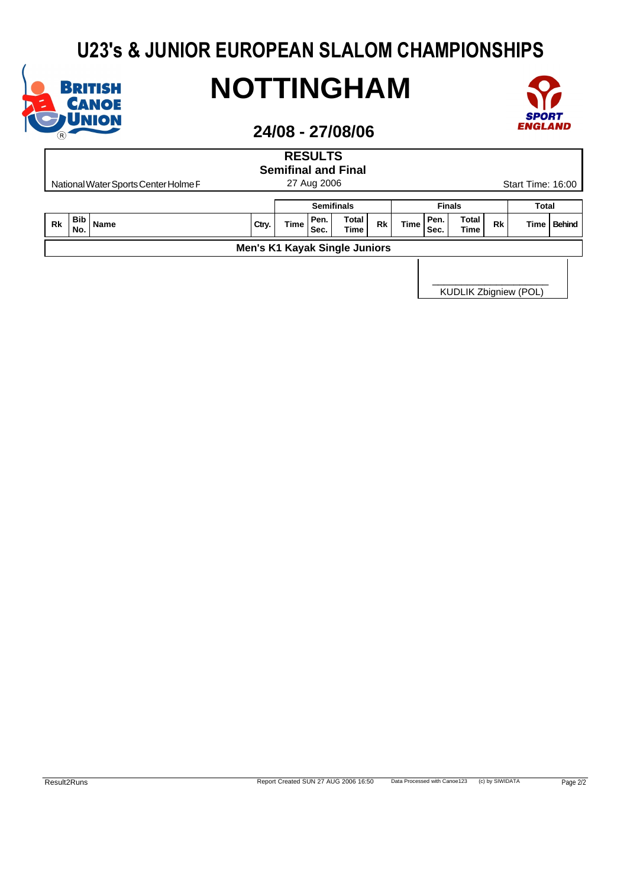

# **NOTTINGHAM**



### **24/08 - 27/08/06**

| <b>RESULTS</b><br><b>Semifinal and Final</b> |                                                                                                                                                                                                     |  |  |  |  |                   |  |  |  |               |  |              |  |  |
|----------------------------------------------|-----------------------------------------------------------------------------------------------------------------------------------------------------------------------------------------------------|--|--|--|--|-------------------|--|--|--|---------------|--|--------------|--|--|
|                                              | 27 Aug 2006<br>Start Time: 16:00<br>National Water Sports Center Holme F                                                                                                                            |  |  |  |  |                   |  |  |  |               |  |              |  |  |
|                                              |                                                                                                                                                                                                     |  |  |  |  | <b>Semifinals</b> |  |  |  | <b>Finals</b> |  | <b>Total</b> |  |  |
| <b>Rk</b>                                    | <b>Bib</b><br><b>Total</b><br>Pen.<br>Pen.<br>Total<br><b>Time</b><br><b>Time</b><br><b>Rk</b><br><b>Rk</b><br><b>Behind</b><br>Name<br>Ctry.<br>Time<br>No.<br>Sec.<br><b>Time</b><br>Time<br>Sec. |  |  |  |  |                   |  |  |  |               |  |              |  |  |
| <b>Men's K1 Kayak Single Juniors</b>         |                                                                                                                                                                                                     |  |  |  |  |                   |  |  |  |               |  |              |  |  |
|                                              |                                                                                                                                                                                                     |  |  |  |  |                   |  |  |  |               |  |              |  |  |

KUDLIK Zbigniew (POL)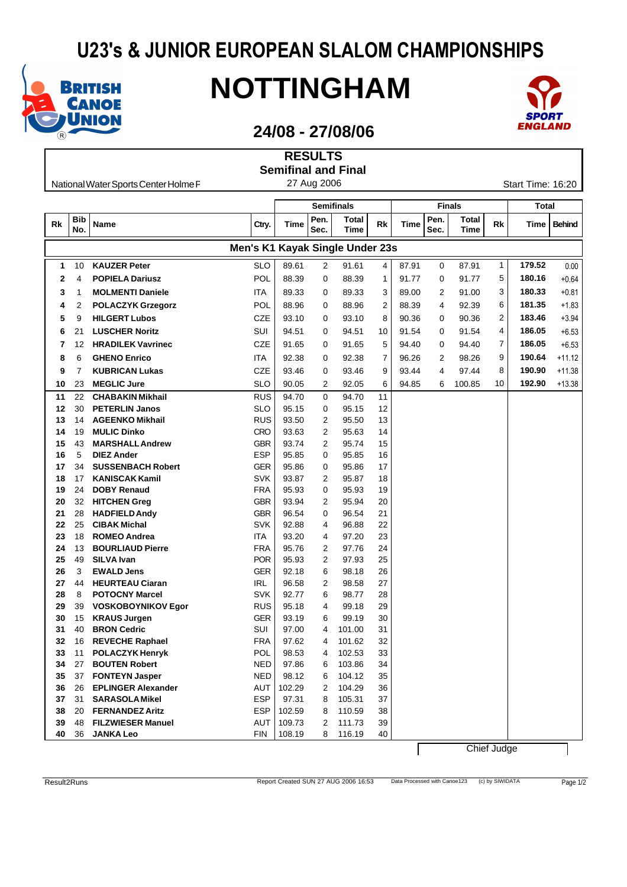

## **NOTTINGHAM**



### **24/08 - 27/08/06**

| <b>Semifinal and Final</b><br>27 Aug 2006<br>Start Time: 16:20<br>National Water Sports Center Holme F<br><b>Semifinals</b><br><b>Finals</b><br><b>Total</b><br>Pen.<br>Pen.<br><b>Total</b><br><b>Bib</b><br>Total<br>Name<br>Rk<br>Rk<br>Rk<br>Ctry.<br>Time<br>Time<br>Time<br>Sec.<br>Sec.<br>Time<br>No.<br>Time<br>Men's K1 Kayak Single Under 23s<br>1<br>179.52<br><b>SLO</b><br><b>KAUZER Peter</b><br>89.61<br>91.61<br>4<br>87.91<br>0<br>87.91<br>10<br>2<br>1<br>5<br>POL<br>180.16<br><b>POPIELA Dariusz</b><br>88.39<br>0<br>88.39<br>$\mathbf{1}$<br>91.77<br>91.77<br>2<br>4<br>0<br>3<br>180.33<br><b>MOLMENTI Daniele</b><br><b>ITA</b><br>89.33<br>89.33<br>3<br>89.00<br>2<br>91.00<br>3<br>1<br>0<br>181.35<br>POL<br>6<br>88.96<br>88.96<br>2<br>88.39<br>92.39<br>2<br><b>POLACZYK Grzegorz</b><br>0<br>4<br>4<br>2<br>183.46<br><b>HILGERT Lubos</b><br>CZE<br>93.10<br>93.10<br>8<br>90.36<br>90.36<br>5<br>9<br>0<br>0<br>4<br>186.05<br>21<br><b>LUSCHER Noritz</b><br>SUI<br>94.51<br>94.51<br>91.54<br>91.54<br>6<br>0<br>10<br>0<br><b>CZE</b><br>186.05<br><b>HRADILEK Vavrinec</b><br>91.65<br>91.65<br>5<br>94.40<br>7<br>0<br>94.40<br>0<br>7<br>12<br>190.64<br>ITA<br>92.38<br>92.38<br>7<br>98.26<br>9<br>6<br><b>GHENO Enrico</b><br>0<br>96.26<br>2<br>8<br>190.90<br><b>CZE</b><br>8<br>9<br><b>KUBRICAN Lukas</b><br>93.46<br>93.46<br>9<br>93.44<br>4<br>97.44<br>7<br>0<br>192.90<br><b>MEGLIC Jure</b><br>10<br>23<br>SLO<br>90.05<br>2<br>92.05<br>6<br>94.85<br>100.85<br>10<br>6<br><b>RUS</b><br>$\mathbf 0$<br>22<br><b>CHABAKIN Mikhail</b><br>94.70<br>94.70<br>11<br>11<br><b>SLO</b><br>12<br>30<br><b>PETERLIN Janos</b><br>95.15<br>95.15<br>12<br>0<br><b>AGEENKO Mikhail</b><br>RUS<br>93.50<br>2<br>95.50<br>13<br>13<br>14<br><b>CRO</b><br><b>MULIC Dinko</b><br>$\overline{2}$<br>14<br>14<br>19<br>93.63<br>95.63<br><b>GBR</b><br>43<br><b>MARSHALL Andrew</b><br>93.74<br>2<br>95.74<br>15<br>15<br><b>ESP</b><br>16<br>5<br>95.85<br>0<br>95.85<br>16<br><b>DIEZ Ander</b><br><b>GER</b><br>34<br><b>SUSSENBACH Robert</b><br>95.86<br>95.86<br>17<br>17<br>0<br><b>KANISCAK Kamil</b><br>SVK<br>93.87<br>$\overline{2}$<br>95.87<br>18<br>18<br>17<br><b>DOBY Renaud</b><br><b>FRA</b><br>95.93<br>95.93<br>19<br>19<br>24<br>0<br><b>HITCHEN Greg</b><br>GBR<br>93.94<br>2<br>95.94<br>20<br>20<br>32<br><b>GBR</b><br>21<br>28<br><b>HADFIELD Andy</b><br>96.54<br>96.54<br>21<br>0<br>25<br><b>CIBAK Michal</b><br>SVK<br>92.88<br>22<br>22<br>4<br>96.88<br>ITA<br>93.20<br>97.20<br>23<br>23<br>18<br><b>ROMEO Andrea</b><br>4<br><b>FRA</b><br>24<br><b>BOURLIAUD Pierre</b><br>2<br>24<br>13<br>95.76<br>97.76<br>POR<br>95.93<br>2<br>97.93<br>25<br>25<br>49<br>SILVA Ivan<br><b>EWALD Jens</b><br>GER<br>92.18<br>98.18<br>26<br>26<br>3<br>6<br><b>IRL</b><br>27<br>27<br>44<br><b>HEURTEAU Ciaran</b><br>96.58<br>2<br>98.58<br>28<br><b>POTOCNY Marcel</b><br>SVK<br>92.77<br>98.77<br>28<br>8<br>6<br>29<br><b>RUS</b><br>95.18<br>99.18<br>29<br>39<br><b>VOSKOBOYNIKOV Egor</b><br>4<br>30<br><b>GER</b><br>30<br>15<br>93.19<br>99.19<br><b>KRAUS Jurgen</b><br>6<br><b>BRON Cedric</b><br>SUI<br>97.00<br>101.00<br>31<br>31<br>40<br>4<br><b>REVECHE Raphael</b><br><b>FRA</b><br>97.62<br>101.62<br>32<br>32<br>16<br>4<br><b>POLACZYK Henryk</b><br>POL<br>98.53<br>102.53<br>33<br>11<br>33<br>4<br>34<br>27<br><b>BOUTEN Robert</b><br><b>NED</b><br>97.86<br>103.86<br>34<br>6<br><b>NED</b><br>98.12<br>35<br><b>FONTEYN Jasper</b><br>104.12<br>35<br>37<br>6<br>36<br><b>EPLINGER Alexander</b><br>AUT<br>104.29<br>26<br>102.29<br>2<br>36<br><b>ESP</b><br>37<br>31<br><b>SARASOLA Mikel</b><br>97.31<br>105.31<br>37<br>8 |  |  | <b>RESULTS</b> |  |  |  |               |
|----------------------------------------------------------------------------------------------------------------------------------------------------------------------------------------------------------------------------------------------------------------------------------------------------------------------------------------------------------------------------------------------------------------------------------------------------------------------------------------------------------------------------------------------------------------------------------------------------------------------------------------------------------------------------------------------------------------------------------------------------------------------------------------------------------------------------------------------------------------------------------------------------------------------------------------------------------------------------------------------------------------------------------------------------------------------------------------------------------------------------------------------------------------------------------------------------------------------------------------------------------------------------------------------------------------------------------------------------------------------------------------------------------------------------------------------------------------------------------------------------------------------------------------------------------------------------------------------------------------------------------------------------------------------------------------------------------------------------------------------------------------------------------------------------------------------------------------------------------------------------------------------------------------------------------------------------------------------------------------------------------------------------------------------------------------------------------------------------------------------------------------------------------------------------------------------------------------------------------------------------------------------------------------------------------------------------------------------------------------------------------------------------------------------------------------------------------------------------------------------------------------------------------------------------------------------------------------------------------------------------------------------------------------------------------------------------------------------------------------------------------------------------------------------------------------------------------------------------------------------------------------------------------------------------------------------------------------------------------------------------------------------------------------------------------------------------------------------------------------------------------------------------------------------------------------------------------------------------------------------------------------------------------------------------------------------------------------------------------------------------------------------------------------------------------------------------------------------------------------------------------------------------------------------------------------------------------------------------------------------------------------------------------------------------------------------------------------------------|--|--|----------------|--|--|--|---------------|
|                                                                                                                                                                                                                                                                                                                                                                                                                                                                                                                                                                                                                                                                                                                                                                                                                                                                                                                                                                                                                                                                                                                                                                                                                                                                                                                                                                                                                                                                                                                                                                                                                                                                                                                                                                                                                                                                                                                                                                                                                                                                                                                                                                                                                                                                                                                                                                                                                                                                                                                                                                                                                                                                                                                                                                                                                                                                                                                                                                                                                                                                                                                                                                                                                                                                                                                                                                                                                                                                                                                                                                                                                                                                                                                            |  |  |                |  |  |  |               |
|                                                                                                                                                                                                                                                                                                                                                                                                                                                                                                                                                                                                                                                                                                                                                                                                                                                                                                                                                                                                                                                                                                                                                                                                                                                                                                                                                                                                                                                                                                                                                                                                                                                                                                                                                                                                                                                                                                                                                                                                                                                                                                                                                                                                                                                                                                                                                                                                                                                                                                                                                                                                                                                                                                                                                                                                                                                                                                                                                                                                                                                                                                                                                                                                                                                                                                                                                                                                                                                                                                                                                                                                                                                                                                                            |  |  |                |  |  |  |               |
|                                                                                                                                                                                                                                                                                                                                                                                                                                                                                                                                                                                                                                                                                                                                                                                                                                                                                                                                                                                                                                                                                                                                                                                                                                                                                                                                                                                                                                                                                                                                                                                                                                                                                                                                                                                                                                                                                                                                                                                                                                                                                                                                                                                                                                                                                                                                                                                                                                                                                                                                                                                                                                                                                                                                                                                                                                                                                                                                                                                                                                                                                                                                                                                                                                                                                                                                                                                                                                                                                                                                                                                                                                                                                                                            |  |  |                |  |  |  |               |
|                                                                                                                                                                                                                                                                                                                                                                                                                                                                                                                                                                                                                                                                                                                                                                                                                                                                                                                                                                                                                                                                                                                                                                                                                                                                                                                                                                                                                                                                                                                                                                                                                                                                                                                                                                                                                                                                                                                                                                                                                                                                                                                                                                                                                                                                                                                                                                                                                                                                                                                                                                                                                                                                                                                                                                                                                                                                                                                                                                                                                                                                                                                                                                                                                                                                                                                                                                                                                                                                                                                                                                                                                                                                                                                            |  |  |                |  |  |  |               |
|                                                                                                                                                                                                                                                                                                                                                                                                                                                                                                                                                                                                                                                                                                                                                                                                                                                                                                                                                                                                                                                                                                                                                                                                                                                                                                                                                                                                                                                                                                                                                                                                                                                                                                                                                                                                                                                                                                                                                                                                                                                                                                                                                                                                                                                                                                                                                                                                                                                                                                                                                                                                                                                                                                                                                                                                                                                                                                                                                                                                                                                                                                                                                                                                                                                                                                                                                                                                                                                                                                                                                                                                                                                                                                                            |  |  |                |  |  |  | <b>Behind</b> |
|                                                                                                                                                                                                                                                                                                                                                                                                                                                                                                                                                                                                                                                                                                                                                                                                                                                                                                                                                                                                                                                                                                                                                                                                                                                                                                                                                                                                                                                                                                                                                                                                                                                                                                                                                                                                                                                                                                                                                                                                                                                                                                                                                                                                                                                                                                                                                                                                                                                                                                                                                                                                                                                                                                                                                                                                                                                                                                                                                                                                                                                                                                                                                                                                                                                                                                                                                                                                                                                                                                                                                                                                                                                                                                                            |  |  |                |  |  |  |               |
|                                                                                                                                                                                                                                                                                                                                                                                                                                                                                                                                                                                                                                                                                                                                                                                                                                                                                                                                                                                                                                                                                                                                                                                                                                                                                                                                                                                                                                                                                                                                                                                                                                                                                                                                                                                                                                                                                                                                                                                                                                                                                                                                                                                                                                                                                                                                                                                                                                                                                                                                                                                                                                                                                                                                                                                                                                                                                                                                                                                                                                                                                                                                                                                                                                                                                                                                                                                                                                                                                                                                                                                                                                                                                                                            |  |  |                |  |  |  | 0.00          |
|                                                                                                                                                                                                                                                                                                                                                                                                                                                                                                                                                                                                                                                                                                                                                                                                                                                                                                                                                                                                                                                                                                                                                                                                                                                                                                                                                                                                                                                                                                                                                                                                                                                                                                                                                                                                                                                                                                                                                                                                                                                                                                                                                                                                                                                                                                                                                                                                                                                                                                                                                                                                                                                                                                                                                                                                                                                                                                                                                                                                                                                                                                                                                                                                                                                                                                                                                                                                                                                                                                                                                                                                                                                                                                                            |  |  |                |  |  |  | $+0.64$       |
|                                                                                                                                                                                                                                                                                                                                                                                                                                                                                                                                                                                                                                                                                                                                                                                                                                                                                                                                                                                                                                                                                                                                                                                                                                                                                                                                                                                                                                                                                                                                                                                                                                                                                                                                                                                                                                                                                                                                                                                                                                                                                                                                                                                                                                                                                                                                                                                                                                                                                                                                                                                                                                                                                                                                                                                                                                                                                                                                                                                                                                                                                                                                                                                                                                                                                                                                                                                                                                                                                                                                                                                                                                                                                                                            |  |  |                |  |  |  | $+0.81$       |
|                                                                                                                                                                                                                                                                                                                                                                                                                                                                                                                                                                                                                                                                                                                                                                                                                                                                                                                                                                                                                                                                                                                                                                                                                                                                                                                                                                                                                                                                                                                                                                                                                                                                                                                                                                                                                                                                                                                                                                                                                                                                                                                                                                                                                                                                                                                                                                                                                                                                                                                                                                                                                                                                                                                                                                                                                                                                                                                                                                                                                                                                                                                                                                                                                                                                                                                                                                                                                                                                                                                                                                                                                                                                                                                            |  |  |                |  |  |  | $+1.83$       |
|                                                                                                                                                                                                                                                                                                                                                                                                                                                                                                                                                                                                                                                                                                                                                                                                                                                                                                                                                                                                                                                                                                                                                                                                                                                                                                                                                                                                                                                                                                                                                                                                                                                                                                                                                                                                                                                                                                                                                                                                                                                                                                                                                                                                                                                                                                                                                                                                                                                                                                                                                                                                                                                                                                                                                                                                                                                                                                                                                                                                                                                                                                                                                                                                                                                                                                                                                                                                                                                                                                                                                                                                                                                                                                                            |  |  |                |  |  |  | $+3.94$       |
|                                                                                                                                                                                                                                                                                                                                                                                                                                                                                                                                                                                                                                                                                                                                                                                                                                                                                                                                                                                                                                                                                                                                                                                                                                                                                                                                                                                                                                                                                                                                                                                                                                                                                                                                                                                                                                                                                                                                                                                                                                                                                                                                                                                                                                                                                                                                                                                                                                                                                                                                                                                                                                                                                                                                                                                                                                                                                                                                                                                                                                                                                                                                                                                                                                                                                                                                                                                                                                                                                                                                                                                                                                                                                                                            |  |  |                |  |  |  | $+6.53$       |
|                                                                                                                                                                                                                                                                                                                                                                                                                                                                                                                                                                                                                                                                                                                                                                                                                                                                                                                                                                                                                                                                                                                                                                                                                                                                                                                                                                                                                                                                                                                                                                                                                                                                                                                                                                                                                                                                                                                                                                                                                                                                                                                                                                                                                                                                                                                                                                                                                                                                                                                                                                                                                                                                                                                                                                                                                                                                                                                                                                                                                                                                                                                                                                                                                                                                                                                                                                                                                                                                                                                                                                                                                                                                                                                            |  |  |                |  |  |  |               |
|                                                                                                                                                                                                                                                                                                                                                                                                                                                                                                                                                                                                                                                                                                                                                                                                                                                                                                                                                                                                                                                                                                                                                                                                                                                                                                                                                                                                                                                                                                                                                                                                                                                                                                                                                                                                                                                                                                                                                                                                                                                                                                                                                                                                                                                                                                                                                                                                                                                                                                                                                                                                                                                                                                                                                                                                                                                                                                                                                                                                                                                                                                                                                                                                                                                                                                                                                                                                                                                                                                                                                                                                                                                                                                                            |  |  |                |  |  |  | $+6.53$       |
|                                                                                                                                                                                                                                                                                                                                                                                                                                                                                                                                                                                                                                                                                                                                                                                                                                                                                                                                                                                                                                                                                                                                                                                                                                                                                                                                                                                                                                                                                                                                                                                                                                                                                                                                                                                                                                                                                                                                                                                                                                                                                                                                                                                                                                                                                                                                                                                                                                                                                                                                                                                                                                                                                                                                                                                                                                                                                                                                                                                                                                                                                                                                                                                                                                                                                                                                                                                                                                                                                                                                                                                                                                                                                                                            |  |  |                |  |  |  | $+11.12$      |
|                                                                                                                                                                                                                                                                                                                                                                                                                                                                                                                                                                                                                                                                                                                                                                                                                                                                                                                                                                                                                                                                                                                                                                                                                                                                                                                                                                                                                                                                                                                                                                                                                                                                                                                                                                                                                                                                                                                                                                                                                                                                                                                                                                                                                                                                                                                                                                                                                                                                                                                                                                                                                                                                                                                                                                                                                                                                                                                                                                                                                                                                                                                                                                                                                                                                                                                                                                                                                                                                                                                                                                                                                                                                                                                            |  |  |                |  |  |  | $+11.38$      |
|                                                                                                                                                                                                                                                                                                                                                                                                                                                                                                                                                                                                                                                                                                                                                                                                                                                                                                                                                                                                                                                                                                                                                                                                                                                                                                                                                                                                                                                                                                                                                                                                                                                                                                                                                                                                                                                                                                                                                                                                                                                                                                                                                                                                                                                                                                                                                                                                                                                                                                                                                                                                                                                                                                                                                                                                                                                                                                                                                                                                                                                                                                                                                                                                                                                                                                                                                                                                                                                                                                                                                                                                                                                                                                                            |  |  |                |  |  |  | $+13.38$      |
|                                                                                                                                                                                                                                                                                                                                                                                                                                                                                                                                                                                                                                                                                                                                                                                                                                                                                                                                                                                                                                                                                                                                                                                                                                                                                                                                                                                                                                                                                                                                                                                                                                                                                                                                                                                                                                                                                                                                                                                                                                                                                                                                                                                                                                                                                                                                                                                                                                                                                                                                                                                                                                                                                                                                                                                                                                                                                                                                                                                                                                                                                                                                                                                                                                                                                                                                                                                                                                                                                                                                                                                                                                                                                                                            |  |  |                |  |  |  |               |
|                                                                                                                                                                                                                                                                                                                                                                                                                                                                                                                                                                                                                                                                                                                                                                                                                                                                                                                                                                                                                                                                                                                                                                                                                                                                                                                                                                                                                                                                                                                                                                                                                                                                                                                                                                                                                                                                                                                                                                                                                                                                                                                                                                                                                                                                                                                                                                                                                                                                                                                                                                                                                                                                                                                                                                                                                                                                                                                                                                                                                                                                                                                                                                                                                                                                                                                                                                                                                                                                                                                                                                                                                                                                                                                            |  |  |                |  |  |  |               |
|                                                                                                                                                                                                                                                                                                                                                                                                                                                                                                                                                                                                                                                                                                                                                                                                                                                                                                                                                                                                                                                                                                                                                                                                                                                                                                                                                                                                                                                                                                                                                                                                                                                                                                                                                                                                                                                                                                                                                                                                                                                                                                                                                                                                                                                                                                                                                                                                                                                                                                                                                                                                                                                                                                                                                                                                                                                                                                                                                                                                                                                                                                                                                                                                                                                                                                                                                                                                                                                                                                                                                                                                                                                                                                                            |  |  |                |  |  |  |               |
|                                                                                                                                                                                                                                                                                                                                                                                                                                                                                                                                                                                                                                                                                                                                                                                                                                                                                                                                                                                                                                                                                                                                                                                                                                                                                                                                                                                                                                                                                                                                                                                                                                                                                                                                                                                                                                                                                                                                                                                                                                                                                                                                                                                                                                                                                                                                                                                                                                                                                                                                                                                                                                                                                                                                                                                                                                                                                                                                                                                                                                                                                                                                                                                                                                                                                                                                                                                                                                                                                                                                                                                                                                                                                                                            |  |  |                |  |  |  |               |
|                                                                                                                                                                                                                                                                                                                                                                                                                                                                                                                                                                                                                                                                                                                                                                                                                                                                                                                                                                                                                                                                                                                                                                                                                                                                                                                                                                                                                                                                                                                                                                                                                                                                                                                                                                                                                                                                                                                                                                                                                                                                                                                                                                                                                                                                                                                                                                                                                                                                                                                                                                                                                                                                                                                                                                                                                                                                                                                                                                                                                                                                                                                                                                                                                                                                                                                                                                                                                                                                                                                                                                                                                                                                                                                            |  |  |                |  |  |  |               |
|                                                                                                                                                                                                                                                                                                                                                                                                                                                                                                                                                                                                                                                                                                                                                                                                                                                                                                                                                                                                                                                                                                                                                                                                                                                                                                                                                                                                                                                                                                                                                                                                                                                                                                                                                                                                                                                                                                                                                                                                                                                                                                                                                                                                                                                                                                                                                                                                                                                                                                                                                                                                                                                                                                                                                                                                                                                                                                                                                                                                                                                                                                                                                                                                                                                                                                                                                                                                                                                                                                                                                                                                                                                                                                                            |  |  |                |  |  |  |               |
|                                                                                                                                                                                                                                                                                                                                                                                                                                                                                                                                                                                                                                                                                                                                                                                                                                                                                                                                                                                                                                                                                                                                                                                                                                                                                                                                                                                                                                                                                                                                                                                                                                                                                                                                                                                                                                                                                                                                                                                                                                                                                                                                                                                                                                                                                                                                                                                                                                                                                                                                                                                                                                                                                                                                                                                                                                                                                                                                                                                                                                                                                                                                                                                                                                                                                                                                                                                                                                                                                                                                                                                                                                                                                                                            |  |  |                |  |  |  |               |
|                                                                                                                                                                                                                                                                                                                                                                                                                                                                                                                                                                                                                                                                                                                                                                                                                                                                                                                                                                                                                                                                                                                                                                                                                                                                                                                                                                                                                                                                                                                                                                                                                                                                                                                                                                                                                                                                                                                                                                                                                                                                                                                                                                                                                                                                                                                                                                                                                                                                                                                                                                                                                                                                                                                                                                                                                                                                                                                                                                                                                                                                                                                                                                                                                                                                                                                                                                                                                                                                                                                                                                                                                                                                                                                            |  |  |                |  |  |  |               |
|                                                                                                                                                                                                                                                                                                                                                                                                                                                                                                                                                                                                                                                                                                                                                                                                                                                                                                                                                                                                                                                                                                                                                                                                                                                                                                                                                                                                                                                                                                                                                                                                                                                                                                                                                                                                                                                                                                                                                                                                                                                                                                                                                                                                                                                                                                                                                                                                                                                                                                                                                                                                                                                                                                                                                                                                                                                                                                                                                                                                                                                                                                                                                                                                                                                                                                                                                                                                                                                                                                                                                                                                                                                                                                                            |  |  |                |  |  |  |               |
|                                                                                                                                                                                                                                                                                                                                                                                                                                                                                                                                                                                                                                                                                                                                                                                                                                                                                                                                                                                                                                                                                                                                                                                                                                                                                                                                                                                                                                                                                                                                                                                                                                                                                                                                                                                                                                                                                                                                                                                                                                                                                                                                                                                                                                                                                                                                                                                                                                                                                                                                                                                                                                                                                                                                                                                                                                                                                                                                                                                                                                                                                                                                                                                                                                                                                                                                                                                                                                                                                                                                                                                                                                                                                                                            |  |  |                |  |  |  |               |
|                                                                                                                                                                                                                                                                                                                                                                                                                                                                                                                                                                                                                                                                                                                                                                                                                                                                                                                                                                                                                                                                                                                                                                                                                                                                                                                                                                                                                                                                                                                                                                                                                                                                                                                                                                                                                                                                                                                                                                                                                                                                                                                                                                                                                                                                                                                                                                                                                                                                                                                                                                                                                                                                                                                                                                                                                                                                                                                                                                                                                                                                                                                                                                                                                                                                                                                                                                                                                                                                                                                                                                                                                                                                                                                            |  |  |                |  |  |  |               |
|                                                                                                                                                                                                                                                                                                                                                                                                                                                                                                                                                                                                                                                                                                                                                                                                                                                                                                                                                                                                                                                                                                                                                                                                                                                                                                                                                                                                                                                                                                                                                                                                                                                                                                                                                                                                                                                                                                                                                                                                                                                                                                                                                                                                                                                                                                                                                                                                                                                                                                                                                                                                                                                                                                                                                                                                                                                                                                                                                                                                                                                                                                                                                                                                                                                                                                                                                                                                                                                                                                                                                                                                                                                                                                                            |  |  |                |  |  |  |               |
|                                                                                                                                                                                                                                                                                                                                                                                                                                                                                                                                                                                                                                                                                                                                                                                                                                                                                                                                                                                                                                                                                                                                                                                                                                                                                                                                                                                                                                                                                                                                                                                                                                                                                                                                                                                                                                                                                                                                                                                                                                                                                                                                                                                                                                                                                                                                                                                                                                                                                                                                                                                                                                                                                                                                                                                                                                                                                                                                                                                                                                                                                                                                                                                                                                                                                                                                                                                                                                                                                                                                                                                                                                                                                                                            |  |  |                |  |  |  |               |
|                                                                                                                                                                                                                                                                                                                                                                                                                                                                                                                                                                                                                                                                                                                                                                                                                                                                                                                                                                                                                                                                                                                                                                                                                                                                                                                                                                                                                                                                                                                                                                                                                                                                                                                                                                                                                                                                                                                                                                                                                                                                                                                                                                                                                                                                                                                                                                                                                                                                                                                                                                                                                                                                                                                                                                                                                                                                                                                                                                                                                                                                                                                                                                                                                                                                                                                                                                                                                                                                                                                                                                                                                                                                                                                            |  |  |                |  |  |  |               |
|                                                                                                                                                                                                                                                                                                                                                                                                                                                                                                                                                                                                                                                                                                                                                                                                                                                                                                                                                                                                                                                                                                                                                                                                                                                                                                                                                                                                                                                                                                                                                                                                                                                                                                                                                                                                                                                                                                                                                                                                                                                                                                                                                                                                                                                                                                                                                                                                                                                                                                                                                                                                                                                                                                                                                                                                                                                                                                                                                                                                                                                                                                                                                                                                                                                                                                                                                                                                                                                                                                                                                                                                                                                                                                                            |  |  |                |  |  |  |               |
|                                                                                                                                                                                                                                                                                                                                                                                                                                                                                                                                                                                                                                                                                                                                                                                                                                                                                                                                                                                                                                                                                                                                                                                                                                                                                                                                                                                                                                                                                                                                                                                                                                                                                                                                                                                                                                                                                                                                                                                                                                                                                                                                                                                                                                                                                                                                                                                                                                                                                                                                                                                                                                                                                                                                                                                                                                                                                                                                                                                                                                                                                                                                                                                                                                                                                                                                                                                                                                                                                                                                                                                                                                                                                                                            |  |  |                |  |  |  |               |
|                                                                                                                                                                                                                                                                                                                                                                                                                                                                                                                                                                                                                                                                                                                                                                                                                                                                                                                                                                                                                                                                                                                                                                                                                                                                                                                                                                                                                                                                                                                                                                                                                                                                                                                                                                                                                                                                                                                                                                                                                                                                                                                                                                                                                                                                                                                                                                                                                                                                                                                                                                                                                                                                                                                                                                                                                                                                                                                                                                                                                                                                                                                                                                                                                                                                                                                                                                                                                                                                                                                                                                                                                                                                                                                            |  |  |                |  |  |  |               |
|                                                                                                                                                                                                                                                                                                                                                                                                                                                                                                                                                                                                                                                                                                                                                                                                                                                                                                                                                                                                                                                                                                                                                                                                                                                                                                                                                                                                                                                                                                                                                                                                                                                                                                                                                                                                                                                                                                                                                                                                                                                                                                                                                                                                                                                                                                                                                                                                                                                                                                                                                                                                                                                                                                                                                                                                                                                                                                                                                                                                                                                                                                                                                                                                                                                                                                                                                                                                                                                                                                                                                                                                                                                                                                                            |  |  |                |  |  |  |               |
|                                                                                                                                                                                                                                                                                                                                                                                                                                                                                                                                                                                                                                                                                                                                                                                                                                                                                                                                                                                                                                                                                                                                                                                                                                                                                                                                                                                                                                                                                                                                                                                                                                                                                                                                                                                                                                                                                                                                                                                                                                                                                                                                                                                                                                                                                                                                                                                                                                                                                                                                                                                                                                                                                                                                                                                                                                                                                                                                                                                                                                                                                                                                                                                                                                                                                                                                                                                                                                                                                                                                                                                                                                                                                                                            |  |  |                |  |  |  |               |
|                                                                                                                                                                                                                                                                                                                                                                                                                                                                                                                                                                                                                                                                                                                                                                                                                                                                                                                                                                                                                                                                                                                                                                                                                                                                                                                                                                                                                                                                                                                                                                                                                                                                                                                                                                                                                                                                                                                                                                                                                                                                                                                                                                                                                                                                                                                                                                                                                                                                                                                                                                                                                                                                                                                                                                                                                                                                                                                                                                                                                                                                                                                                                                                                                                                                                                                                                                                                                                                                                                                                                                                                                                                                                                                            |  |  |                |  |  |  |               |
|                                                                                                                                                                                                                                                                                                                                                                                                                                                                                                                                                                                                                                                                                                                                                                                                                                                                                                                                                                                                                                                                                                                                                                                                                                                                                                                                                                                                                                                                                                                                                                                                                                                                                                                                                                                                                                                                                                                                                                                                                                                                                                                                                                                                                                                                                                                                                                                                                                                                                                                                                                                                                                                                                                                                                                                                                                                                                                                                                                                                                                                                                                                                                                                                                                                                                                                                                                                                                                                                                                                                                                                                                                                                                                                            |  |  |                |  |  |  |               |
|                                                                                                                                                                                                                                                                                                                                                                                                                                                                                                                                                                                                                                                                                                                                                                                                                                                                                                                                                                                                                                                                                                                                                                                                                                                                                                                                                                                                                                                                                                                                                                                                                                                                                                                                                                                                                                                                                                                                                                                                                                                                                                                                                                                                                                                                                                                                                                                                                                                                                                                                                                                                                                                                                                                                                                                                                                                                                                                                                                                                                                                                                                                                                                                                                                                                                                                                                                                                                                                                                                                                                                                                                                                                                                                            |  |  |                |  |  |  |               |
|                                                                                                                                                                                                                                                                                                                                                                                                                                                                                                                                                                                                                                                                                                                                                                                                                                                                                                                                                                                                                                                                                                                                                                                                                                                                                                                                                                                                                                                                                                                                                                                                                                                                                                                                                                                                                                                                                                                                                                                                                                                                                                                                                                                                                                                                                                                                                                                                                                                                                                                                                                                                                                                                                                                                                                                                                                                                                                                                                                                                                                                                                                                                                                                                                                                                                                                                                                                                                                                                                                                                                                                                                                                                                                                            |  |  |                |  |  |  |               |
|                                                                                                                                                                                                                                                                                                                                                                                                                                                                                                                                                                                                                                                                                                                                                                                                                                                                                                                                                                                                                                                                                                                                                                                                                                                                                                                                                                                                                                                                                                                                                                                                                                                                                                                                                                                                                                                                                                                                                                                                                                                                                                                                                                                                                                                                                                                                                                                                                                                                                                                                                                                                                                                                                                                                                                                                                                                                                                                                                                                                                                                                                                                                                                                                                                                                                                                                                                                                                                                                                                                                                                                                                                                                                                                            |  |  |                |  |  |  |               |
|                                                                                                                                                                                                                                                                                                                                                                                                                                                                                                                                                                                                                                                                                                                                                                                                                                                                                                                                                                                                                                                                                                                                                                                                                                                                                                                                                                                                                                                                                                                                                                                                                                                                                                                                                                                                                                                                                                                                                                                                                                                                                                                                                                                                                                                                                                                                                                                                                                                                                                                                                                                                                                                                                                                                                                                                                                                                                                                                                                                                                                                                                                                                                                                                                                                                                                                                                                                                                                                                                                                                                                                                                                                                                                                            |  |  |                |  |  |  |               |
|                                                                                                                                                                                                                                                                                                                                                                                                                                                                                                                                                                                                                                                                                                                                                                                                                                                                                                                                                                                                                                                                                                                                                                                                                                                                                                                                                                                                                                                                                                                                                                                                                                                                                                                                                                                                                                                                                                                                                                                                                                                                                                                                                                                                                                                                                                                                                                                                                                                                                                                                                                                                                                                                                                                                                                                                                                                                                                                                                                                                                                                                                                                                                                                                                                                                                                                                                                                                                                                                                                                                                                                                                                                                                                                            |  |  |                |  |  |  |               |
| <b>FERNANDEZ Aritz</b><br><b>ESP</b><br>102.59<br>110.59                                                                                                                                                                                                                                                                                                                                                                                                                                                                                                                                                                                                                                                                                                                                                                                                                                                                                                                                                                                                                                                                                                                                                                                                                                                                                                                                                                                                                                                                                                                                                                                                                                                                                                                                                                                                                                                                                                                                                                                                                                                                                                                                                                                                                                                                                                                                                                                                                                                                                                                                                                                                                                                                                                                                                                                                                                                                                                                                                                                                                                                                                                                                                                                                                                                                                                                                                                                                                                                                                                                                                                                                                                                                   |  |  |                |  |  |  |               |
| 38<br>8<br>38<br>20<br><b>FILZWIESER Manuel</b><br>109.73<br>39<br>48<br>AUT<br>2<br>111.73<br>39                                                                                                                                                                                                                                                                                                                                                                                                                                                                                                                                                                                                                                                                                                                                                                                                                                                                                                                                                                                                                                                                                                                                                                                                                                                                                                                                                                                                                                                                                                                                                                                                                                                                                                                                                                                                                                                                                                                                                                                                                                                                                                                                                                                                                                                                                                                                                                                                                                                                                                                                                                                                                                                                                                                                                                                                                                                                                                                                                                                                                                                                                                                                                                                                                                                                                                                                                                                                                                                                                                                                                                                                                          |  |  |                |  |  |  |               |
| 40<br>36<br><b>JANKA Leo</b><br><b>FIN</b><br>108.19<br>116.19<br>40<br>8                                                                                                                                                                                                                                                                                                                                                                                                                                                                                                                                                                                                                                                                                                                                                                                                                                                                                                                                                                                                                                                                                                                                                                                                                                                                                                                                                                                                                                                                                                                                                                                                                                                                                                                                                                                                                                                                                                                                                                                                                                                                                                                                                                                                                                                                                                                                                                                                                                                                                                                                                                                                                                                                                                                                                                                                                                                                                                                                                                                                                                                                                                                                                                                                                                                                                                                                                                                                                                                                                                                                                                                                                                                  |  |  |                |  |  |  |               |

Chief Judge